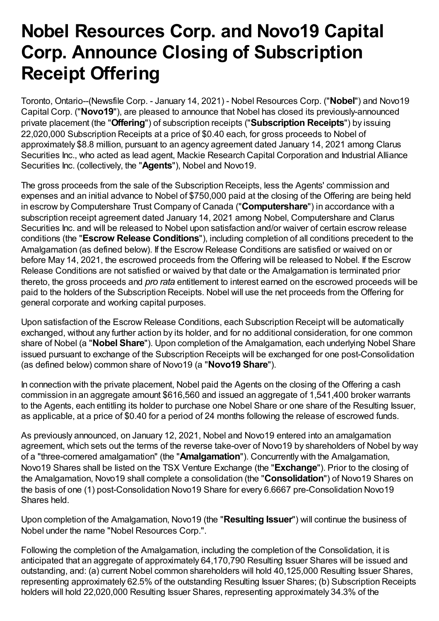# **Nobel Resources Corp. and Novo19 Capital Corp. Announce Closing of Subscription Receipt Offering**

Toronto, Ontario--(Newsfile Corp. - January 14, 2021) - Nobel Resources Corp. ("**Nobel**") and Novo19 Capital Corp. ("**Novo19**"), are pleased to announce that Nobel has closed its previously-announced private placement (the "**Offering**") of subscription receipts ("**Subscription Receipts**") by issuing 22,020,000 Subscription Receipts at a price of \$0.40 each, for gross proceeds to Nobel of approximately \$8.8 million, pursuant to an agency agreement dated January 14, 2021 among Clarus Securities Inc., who acted as lead agent, Mackie Research Capital Corporation and Industrial Alliance Securities Inc. (collectively, the "**Agents**"), Nobel and Novo19.

The gross proceeds from the sale of the Subscription Receipts, less the Agents' commission and expenses and an initial advance to Nobel of \$750,000 paid at the closing of the Offering are being held in escrow by Computershare Trust Company of Canada ("**Computershare**") in accordance with a subscription receipt agreement dated January 14, 2021 among Nobel, Computershare and Clarus Securities Inc. and will be released to Nobel upon satisfaction and/or waiver of certain escrow release conditions (the "**Escrow Release Conditions**"), including completion of all conditions precedent to the Amalgamation (as defined below). If the Escrow Release Conditions are satisfied or waived on or before May 14, 2021, the escrowed proceeds from the Offering will be released to Nobel. If the Escrow Release Conditions are not satisfied or waived by that date or the Amalgamation is terminated prior thereto, the gross proceeds and *pro rata* entitlement to interest earned on the escrowed proceeds will be paid to the holders of the Subscription Receipts. Nobel will use the net proceeds from the Offering for general corporate and working capital purposes.

Upon satisfaction of the Escrow Release Conditions, each Subscription Receipt will be automatically exchanged, without any further action by its holder, and for no additional consideration, for one common share of Nobel (a "**Nobel Share**"). Upon completion of the Amalgamation, each underlying Nobel Share issued pursuant to exchange of the Subscription Receipts will be exchanged for one post-Consolidation (as defined below) common share of Novo19 (a "**Novo19 Share**").

In connection with the private placement, Nobel paid the Agents on the closing of the Offering a cash commission in an aggregate amount \$616,560 and issued an aggregate of 1,541,400 broker warrants to the Agents, each entitling its holder to purchase one Nobel Share or one share of the Resulting Issuer, as applicable, at a price of \$0.40 for a period of 24 months following the release of escrowed funds.

As previously announced, on January 12, 2021, Nobel and Novo19 entered into an amalgamation agreement, which sets out the terms of the reverse take-over of Novo19 by shareholders of Nobel by way of a "three-cornered amalgamation" (the "**Amalgamation**"). Concurrently with the Amalgamation, Novo19 Shares shall be listed on the TSX Venture Exchange (the "**Exchange**"). Prior to the closing of the Amalgamation, Novo19 shall complete a consolidation (the "**Consolidation**") of Novo19 Shares on the basis of one (1) post-Consolidation Novo19 Share for every 6.6667 pre-Consolidation Novo19 Shares held.

Upon completion of the Amalgamation, Novo19 (the "**Resulting Issuer**") will continue the business of Nobel under the name "Nobel Resources Corp.".

Following the completion of the Amalgamation, including the completion of the Consolidation, it is anticipated that an aggregate of approximately 64,170,790 Resulting Issuer Shares will be issued and outstanding, and: (a) current Nobel common shareholders will hold 40,125,000 Resulting Issuer Shares, representing approximately 62.5% of the outstanding Resulting Issuer Shares; (b) Subscription Receipts holders will hold 22,020,000 Resulting Issuer Shares, representing approximately 34.3% of the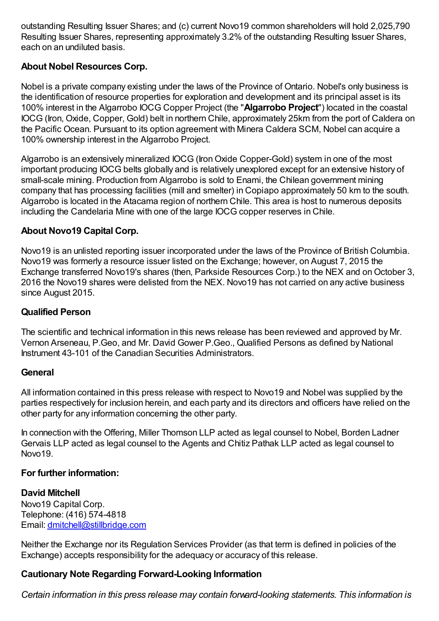outstanding Resulting Issuer Shares; and (c) current Novo19 common shareholders will hold 2,025,790 Resulting Issuer Shares, representing approximately 3.2% of the outstanding Resulting Issuer Shares, each on an undiluted basis.

# **About Nobel Resources Corp.**

Nobel is a private company existing under the laws of the Province of Ontario. Nobel's only business is the identification of resource properties for exploration and development and its principal asset is its 100% interest in the Algarrobo IOCG Copper Project (the "**Algarrobo Project**") located in the coastal IOCG (Iron, Oxide, Copper, Gold) belt in northern Chile, approximately 25km from the port of Caldera on the Pacific Ocean. Pursuant to its option agreement with Minera Caldera SCM, Nobel can acquire a 100% ownership interest in the Algarrobo Project.

Algarrobo is an extensively mineralized IOCG (IronOxide Copper-Gold) system in one of the most important producing IOCG belts globally and is relatively unexplored except for an extensive history of small-scale mining. Production from Algarrobo is sold to Enami, the Chilean government mining company that has processing facilities (mill and smelter) in Copiapo approximately 50 km to the south. Algarrobo is located in the Atacama region of northern Chile. This area is host to numerous deposits including the Candelaria Mine with one of the large IOCG copper reserves in Chile.

## **About Novo19 Capital Corp.**

Novo19 is an unlisted reporting issuer incorporated under the laws of the Province of British Columbia. Novo19 was formerly a resource issuer listed on the Exchange; however, on August 7, 2015 the Exchange transferred Novo19's shares (then, Parkside Resources Corp.) to the NEX and on October 3, 2016 the Novo19 shares were delisted from the NEX. Novo19 has not carried on any active business since August 2015.

## **Qualified Person**

The scientific and technical information in this news release has been reviewed and approved by Mr. Vernon Arseneau, P.Geo, and Mr. David Gower P.Geo., Qualified Persons as defined by National Instrument 43-101 of the Canadian Securities Administrators.

#### **General**

All information contained in this press release with respect to Novo19 and Nobel was supplied by the parties respectively for inclusion herein, and each party and its directors and officers have relied on the other party for any information concerning the other party.

In connection with the Offering, Miller Thomson LLP acted as legal counsel to Nobel, Borden Ladner Gervais LLP acted as legal counsel to the Agents and Chitiz Pathak LLP acted as legal counsel to Novo19.

#### **For further information:**

#### **David Mitchell**

Novo19 Capital Corp. Telephone: (416) 574-4818 Email: [dmitchell@stillbridge.com](mailto:dmitchell@stillbridge.com)

Neither the Exchange nor its Regulation Services Provider (as that term is defined in policies of the Exchange) accepts responsibility for the adequacy or accuracy of this release.

#### **Cautionary Note Regarding Forward-Looking Information**

*Certain information in this press release may contain forward-looking statements. This information is*